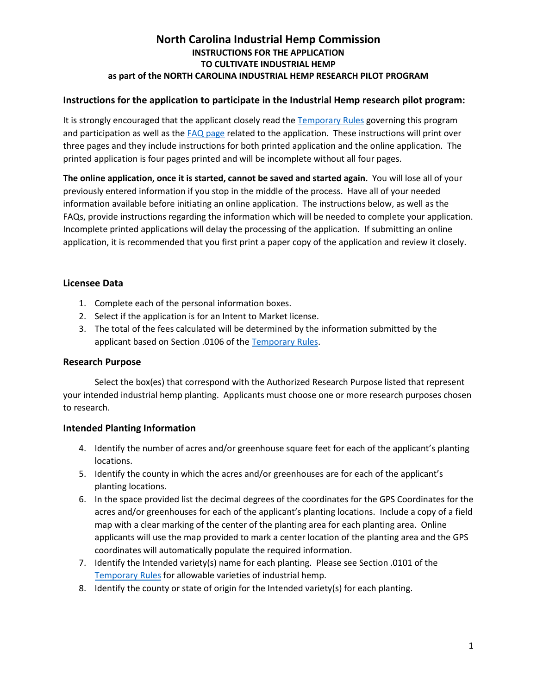# **North Carolina Industrial Hemp Commission INSTRUCTIONS FOR THE APPLICATION TO CULTIVATE INDUSTRIAL HEMP as part of the NORTH CAROLINA INDUSTRIAL HEMP RESEARCH PILOT PROGRAM**

## **Instructions for the application to participate in the Industrial Hemp research pilot program:**

It is strongly encouraged that the applicant closely read th[e Temporary Rules](http://www.ncoah.com/rules/02%20NCAC%2062%20Proposed%20Temporary%20Rules.pdf) governing this program and participation as well as the [FAQ page](http://ncagr.gov/hemp/application-faqs.htm) related to the application. These instructions will print over three pages and they include instructions for both printed application and the online application. The printed application is four pages printed and will be incomplete without all four pages.

**The online application, once it is started, cannot be saved and started again.** You will lose all of your previously entered information if you stop in the middle of the process. Have all of your needed information available before initiating an online application. The instructions below, as well as the FAQs, provide instructions regarding the information which will be needed to complete your application. Incomplete printed applications will delay the processing of the application. If submitting an online application, it is recommended that you first print a paper copy of the application and review it closely.

## **Licensee Data**

- 1. Complete each of the personal information boxes.
- 2. Select if the application is for an Intent to Market license.
- 3. The total of the fees calculated will be determined by the information submitted by the applicant based on Section .0106 of the [Temporary Rules.](http://www.ncoah.com/rules/02%20NCAC%2062%20Proposed%20Temporary%20Rules.pdf)

#### **Research Purpose**

Select the box(es) that correspond with the Authorized Research Purpose listed that represent your intended industrial hemp planting. Applicants must choose one or more research purposes chosen to research.

#### **Intended Planting Information**

- 4. Identify the number of acres and/or greenhouse square feet for each of the applicant's planting locations.
- 5. Identify the county in which the acres and/or greenhouses are for each of the applicant's planting locations.
- 6. In the space provided list the decimal degrees of the coordinates for the GPS Coordinates for the acres and/or greenhouses for each of the applicant's planting locations. Include a copy of a field map with a clear marking of the center of the planting area for each planting area. Online applicants will use the map provided to mark a center location of the planting area and the GPS coordinates will automatically populate the required information.
- 7. Identify the Intended variety(s) name for each planting. Please see Section .0101 of the [Temporary Rules](http://www.ncoah.com/rules/02%20NCAC%2062%20Proposed%20Temporary%20Rules.pdf) for allowable varieties of industrial hemp.
- 8. Identify the county or state of origin for the Intended variety(s) for each planting.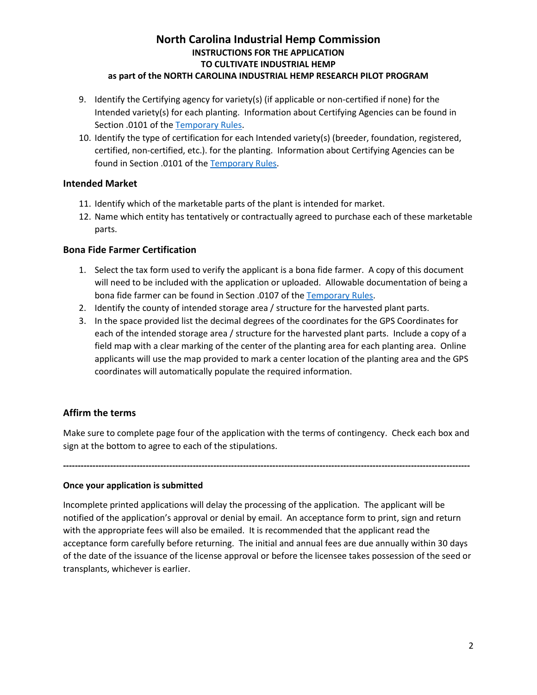# **North Carolina Industrial Hemp Commission INSTRUCTIONS FOR THE APPLICATION TO CULTIVATE INDUSTRIAL HEMP**

# **as part of the NORTH CAROLINA INDUSTRIAL HEMP RESEARCH PILOT PROGRAM**

- 9. Identify the Certifying agency for variety(s) (if applicable or non-certified if none) for the Intended variety(s) for each planting. Information about Certifying Agencies can be found in Section .0101 of the [Temporary Rules.](http://www.ncoah.com/rules/02%20NCAC%2062%20Proposed%20Temporary%20Rules.pdf)
- 10. Identify the type of certification for each Intended variety(s) (breeder, foundation, registered, certified, non-certified, etc.). for the planting. Information about Certifying Agencies can be found in Section .0101 of the [Temporary Rules.](http://www.ncoah.com/rules/02%20NCAC%2062%20Proposed%20Temporary%20Rules.pdf)

#### **Intended Market**

- 11. Identify which of the marketable parts of the plant is intended for market.
- 12. Name which entity has tentatively or contractually agreed to purchase each of these marketable parts.

#### **Bona Fide Farmer Certification**

- 1. Select the tax form used to verify the applicant is a bona fide farmer. A copy of this document will need to be included with the application or uploaded. Allowable documentation of being a bona fide farmer can be found in Section .0107 of th[e Temporary Rules.](http://www.ncoah.com/rules/02%20NCAC%2062%20Proposed%20Temporary%20Rules.pdf)
- 2. Identify the county of intended storage area / structure for the harvested plant parts.
- 3. In the space provided list the decimal degrees of the coordinates for the GPS Coordinates for each of the intended storage area / structure for the harvested plant parts. Include a copy of a field map with a clear marking of the center of the planting area for each planting area. Online applicants will use the map provided to mark a center location of the planting area and the GPS coordinates will automatically populate the required information.

#### **Affirm the terms**

Make sure to complete page four of the application with the terms of contingency. Check each box and sign at the bottom to agree to each of the stipulations.

**------------------------------------------------------------------------------------------------------------------------------------------**

#### **Once your application is submitted**

Incomplete printed applications will delay the processing of the application. The applicant will be notified of the application's approval or denial by email. An acceptance form to print, sign and return with the appropriate fees will also be emailed. It is recommended that the applicant read the acceptance form carefully before returning. The initial and annual fees are due annually within 30 days of the date of the issuance of the license approval or before the licensee takes possession of the seed or transplants, whichever is earlier.